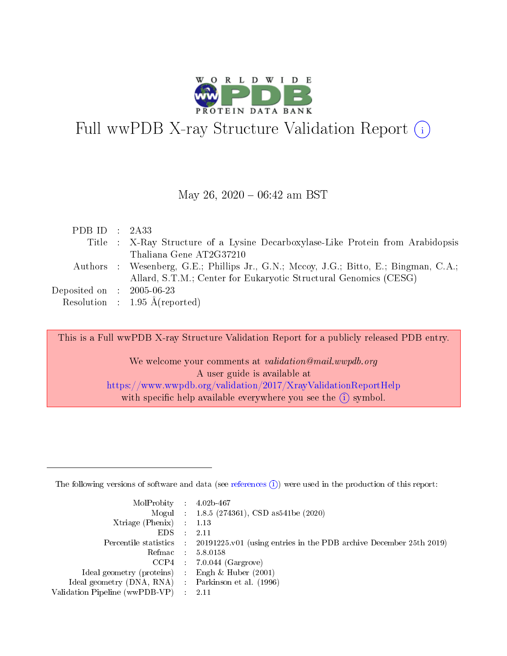

# Full wwPDB X-ray Structure Validation Report (i)

#### May 26,  $2020 - 06:42$  am BST

| PDB ID : $2A33$                     |                                                                                       |
|-------------------------------------|---------------------------------------------------------------------------------------|
|                                     | Title : X-Ray Structure of a Lysine Decarboxylase-Like Protein from Arabidopsis       |
|                                     | Thaliana Gene AT2G37210                                                               |
|                                     | Authors : Wesenberg, G.E.; Phillips Jr., G.N.; Mccoy, J.G.; Bitto, E.; Bingman, C.A.; |
|                                     | Allard, S.T.M.; Center for Eukaryotic Structural Genomics (CESG)                      |
| Deposited on $\,$ : 2005-06-23 $\,$ |                                                                                       |
|                                     | Resolution : $1.95 \text{ Å}$ (reported)                                              |

This is a Full wwPDB X-ray Structure Validation Report for a publicly released PDB entry.

We welcome your comments at validation@mail.wwpdb.org A user guide is available at <https://www.wwpdb.org/validation/2017/XrayValidationReportHelp> with specific help available everywhere you see the  $(i)$  symbol.

The following versions of software and data (see [references](https://www.wwpdb.org/validation/2017/XrayValidationReportHelp#references)  $(1)$ ) were used in the production of this report:

| $MolProbability$ : 4.02b-467                       |               |                                                                                            |
|----------------------------------------------------|---------------|--------------------------------------------------------------------------------------------|
|                                                    |               | Mogul : $1.8.5$ (274361), CSD as 541be (2020)                                              |
| Xtriage (Phenix) $: 1.13$                          |               |                                                                                            |
| EDS.                                               | $\mathcal{L}$ | -2.11                                                                                      |
|                                                    |               | Percentile statistics : 20191225.v01 (using entries in the PDB archive December 25th 2019) |
|                                                    |               | Refmac : 5.8.0158                                                                          |
|                                                    |               | $CCP4$ 7.0.044 (Gargrove)                                                                  |
| Ideal geometry (proteins) : Engh $\&$ Huber (2001) |               |                                                                                            |
| Ideal geometry (DNA, RNA) Parkinson et al. (1996)  |               |                                                                                            |
| Validation Pipeline (wwPDB-VP) : 2.11              |               |                                                                                            |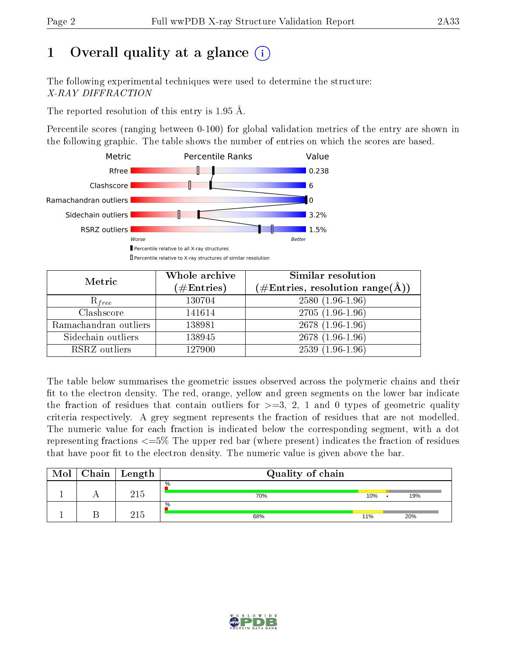# 1 [O](https://www.wwpdb.org/validation/2017/XrayValidationReportHelp#overall_quality)verall quality at a glance  $(i)$

The following experimental techniques were used to determine the structure: X-RAY DIFFRACTION

The reported resolution of this entry is 1.95 Å.

Percentile scores (ranging between 0-100) for global validation metrics of the entry are shown in the following graphic. The table shows the number of entries on which the scores are based.



| Metric                | Whole archive<br>$(\#\mathrm{Entries})$ | Similar resolution<br>$(\#\text{Entries}, \text{resolution range}(\text{\AA}))$ |
|-----------------------|-----------------------------------------|---------------------------------------------------------------------------------|
| $R_{free}$            | 130704                                  | $2580(1.96-1.96)$                                                               |
| Clashscore            | 141614                                  | $2705(1.96-1.96)$                                                               |
| Ramachandran outliers | 138981                                  | $2678(1.96-1.96)$                                                               |
| Sidechain outliers    | 138945                                  | $2678(1.96-1.96)$                                                               |
| RSRZ outliers         | 127900                                  | $2539(1.96-1.96)$                                                               |

The table below summarises the geometric issues observed across the polymeric chains and their fit to the electron density. The red, orange, yellow and green segments on the lower bar indicate the fraction of residues that contain outliers for  $>=3, 2, 1$  and 0 types of geometric quality criteria respectively. A grey segment represents the fraction of residues that are not modelled. The numeric value for each fraction is indicated below the corresponding segment, with a dot representing fractions  $\epsilon=5\%$  The upper red bar (where present) indicates the fraction of residues that have poor fit to the electron density. The numeric value is given above the bar.

| Mol | $Chain$ Length | Quality of chain |     |  |     |
|-----|----------------|------------------|-----|--|-----|
|     | $215\,$        | $\%$<br>70%      | 10% |  | 19% |
|     | ว1 ¤           | $\%$<br>68%      | 11% |  | 20% |

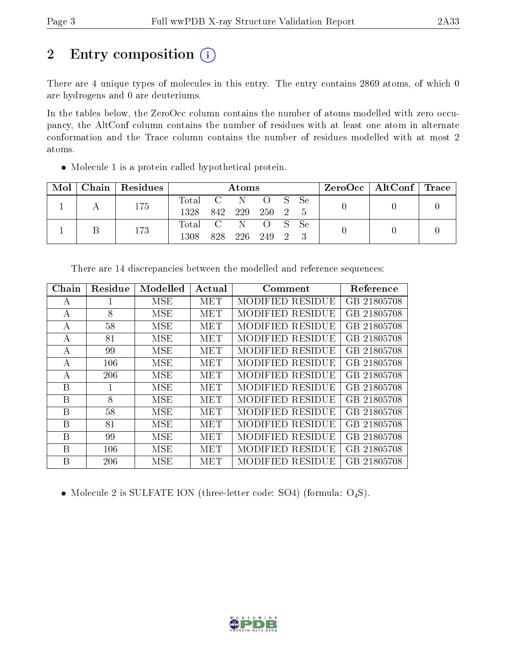# 2 Entry composition (i)

There are 4 unique types of molecules in this entry. The entry contains 2869 atoms, of which 0 are hydrogens and 0 are deuteriums.

In the tables below, the ZeroOcc column contains the number of atoms modelled with zero occupancy, the AltConf column contains the number of residues with at least one atom in alternate conformation and the Trace column contains the number of residues modelled with at most 2 atoms.

Molecule 1 is a protein called hypothetical protein.

| $\text{Mol}$ | Chain   Residues | Atoms                                    |     |       |         | $\rm ZeroOcc$   AltConf   Trace |  |  |
|--------------|------------------|------------------------------------------|-----|-------|---------|---------------------------------|--|--|
|              | 175              | Total C N O S Se<br>1328 842 229 250 2 5 |     |       |         |                                 |  |  |
|              | 173              | Total C N O S Se<br>1308                 | 828 | - 226 | 249 2 3 |                                 |  |  |

| Chain | Residue | Modelled | Actual | Comment                 | Reference   |
|-------|---------|----------|--------|-------------------------|-------------|
| А     |         | MSE      | MET    | MODIFIED RESIDUE        | GB 21805708 |
| А     | 8       | MSE      | MET    | MODIFIED RESIDUE        | GB 21805708 |
| А     | 58      | MSE      | MET    | MODIFIED RESIDUE        | GB 21805708 |
| А     | 81      | MSE      | MET    | MODIFIED RESIDUE        | GB 21805708 |
| А     | 99      | MSE      | MET    | MODIFIED RESIDUE        | GB 21805708 |
| А     | 106     | MSE      | MET    | <b>MODIFIED RESIDUE</b> | GB 21805708 |
| А     | 206     | MSE      | MET    | MODIFIED RESIDUE        | GB 21805708 |
| Β     |         | MSE      | MET    | MODIFIED RESIDUE        | GB 21805708 |
| B     | 8       | MSE      | MET    | MODIFIED RESIDUE        | GB 21805708 |
| Β     | 58      | MSE      | MET    | MODIFIED RESIDUE        | GB 21805708 |
| B     | 81      | MSE      | MET    | MODIFIED RESIDUE        | GB 21805708 |
| Β     | 99      | MSE      | MET    | MODIFIED RESIDUE        | GB 21805708 |
| В     | 106     | MSE      | MET    | MODIFIED RESIDUE        | GB 21805708 |
| Β     | 206     | MSE      | MET    | MODIFIED RESIDUE        | GB 21805708 |

There are 14 discrepancies between the modelled and reference sequences:

• Molecule 2 is SULFATE ION (three-letter code: SO4) (formula:  $O_4S$ ).

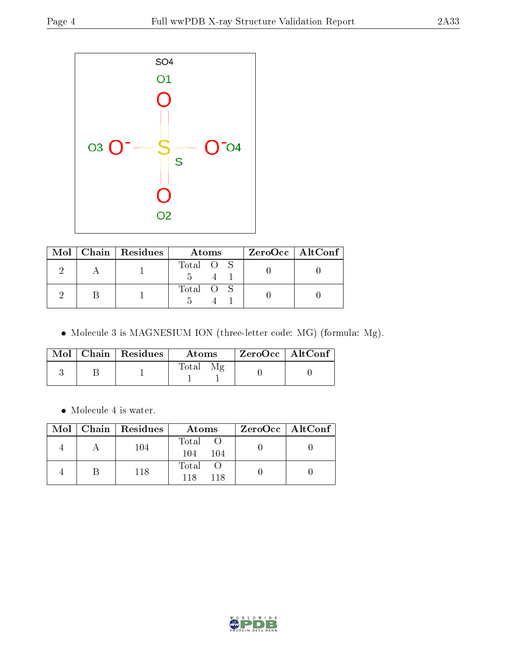

|  | Mol   Chain   Residues | Atoms     | $ZeroOcc \   \ AltConf \  $ |
|--|------------------------|-----------|-----------------------------|
|  |                        | Total O S |                             |
|  |                        | Total O S |                             |

Molecule 3 is MAGNESIUM ION (three-letter code: MG) (formula: Mg).

|  | $Mol$   Chain   Residues | Atoms | $ZeroOcc \   \ AltConf$ |  |
|--|--------------------------|-------|-------------------------|--|
|  |                          | Total |                         |  |

Molecule 4 is water.

|  | $\text{Mol}$   Chain   Residues | Atoms                 | $ZeroOcc \   \ AltConf \  $ |
|--|---------------------------------|-----------------------|-----------------------------|
|  | 104                             | Total O<br>104<br>104 |                             |
|  | 118                             | Total<br>118<br>118   |                             |

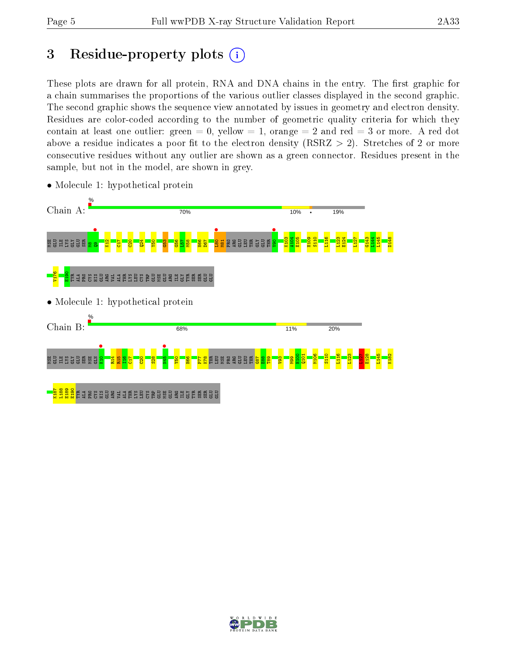# 3 Residue-property plots  $(i)$

These plots are drawn for all protein, RNA and DNA chains in the entry. The first graphic for a chain summarises the proportions of the various outlier classes displayed in the second graphic. The second graphic shows the sequence view annotated by issues in geometry and electron density. Residues are color-coded according to the number of geometric quality criteria for which they contain at least one outlier: green  $= 0$ , yellow  $= 1$ , orange  $= 2$  and red  $= 3$  or more. A red dot above a residue indicates a poor fit to the electron density (RSRZ  $> 2$ ). Stretches of 2 or more consecutive residues without any outlier are shown as a green connector. Residues present in the sample, but not in the model, are shown in grey.



• Molecule 1: hypothetical protein

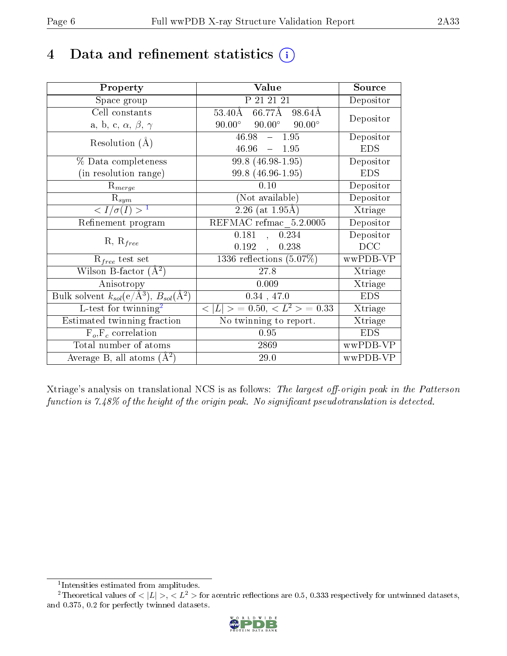# 4 Data and refinement statistics  $(i)$

| Property                                                         | Value                                                     | Source     |
|------------------------------------------------------------------|-----------------------------------------------------------|------------|
| Space group                                                      | P 21 21 21                                                | Depositor  |
| Cell constants                                                   | $66.77\overline{\text{A}}$<br>$53.40\text{\AA}$<br>98.64Å |            |
| a, b, c, $\alpha$ , $\beta$ , $\gamma$                           | $90.00^{\circ}$<br>$90.00^\circ$<br>$90.00^\circ$         | Depositor  |
| Resolution $(A)$                                                 | $46.98 - 1.95$                                            | Depositor  |
|                                                                  | $46.96 = 1.95$                                            | <b>EDS</b> |
| % Data completeness                                              | 99.8 (46.98-1.95)                                         | Depositor  |
| (in resolution range)                                            | 99.8 (46.96-1.95)                                         | <b>EDS</b> |
| $R_{merge}$                                                      | 0.10                                                      | Depositor  |
| $\mathrm{R}_{sym}$                                               | (Not available)                                           | Depositor  |
| $\langle I/\sigma(I) \rangle^{-1}$                               | $2.26$ (at 1.95Å)                                         | Xtriage    |
| Refinement program                                               | REFMAC refmac 5.2.0005                                    | Depositor  |
| $R, R_{free}$                                                    | 0.181<br>0.234<br>$\sim$                                  | Depositor  |
|                                                                  | 0.192,<br>0.238                                           | DCC        |
| $\mathcal{R}_{free}$ test set                                    | $1336$ reflections $(5.07\%)$                             | wwPDB-VP   |
| Wilson B-factor $(A^2)$                                          | 27.8                                                      | Xtriage    |
| Anisotropy                                                       | 0.009                                                     | Xtriage    |
| Bulk solvent $k_{sol}(\text{e}/\text{A}^3), B_{sol}(\text{A}^2)$ | 0.34, 47.0                                                | <b>EDS</b> |
| L-test for $\mathrm{twinning}^2$                                 | $< L >$ = 0.50, $< L2$ > = 0.33                           | Xtriage    |
| Estimated twinning fraction                                      | No twinning to report.                                    | Xtriage    |
| $F_o, F_c$ correlation                                           | 0.95                                                      | <b>EDS</b> |
| Total number of atoms                                            | 2869                                                      | wwPDB-VP   |
| Average B, all atoms $(A^2)$                                     | 29.0                                                      | wwPDB-VP   |

Xtriage's analysis on translational NCS is as follows: The largest off-origin peak in the Patterson function is  $7.48\%$  of the height of the origin peak. No significant pseudotranslation is detected.

<sup>&</sup>lt;sup>2</sup>Theoretical values of  $\langle |L| \rangle$ ,  $\langle L^2 \rangle$  for acentric reflections are 0.5, 0.333 respectively for untwinned datasets, and 0.375, 0.2 for perfectly twinned datasets.



<span id="page-5-1"></span><span id="page-5-0"></span><sup>1</sup> Intensities estimated from amplitudes.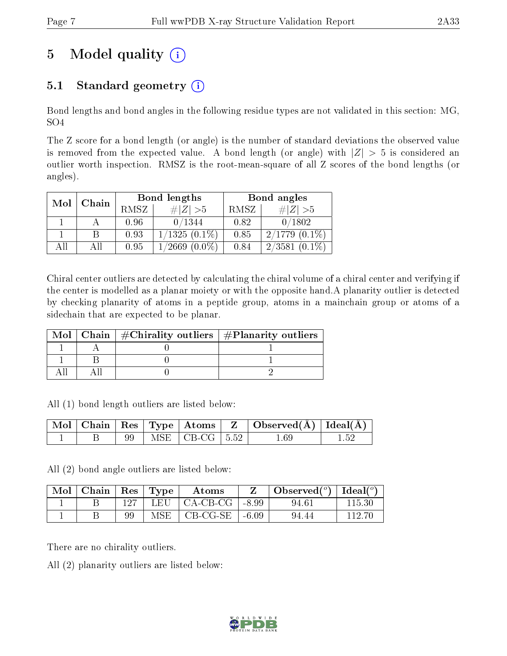# 5 Model quality  $(i)$

### 5.1 Standard geometry  $(i)$

Bond lengths and bond angles in the following residue types are not validated in this section: MG, SO4

The Z score for a bond length (or angle) is the number of standard deviations the observed value is removed from the expected value. A bond length (or angle) with  $|Z| > 5$  is considered an outlier worth inspection. RMSZ is the root-mean-square of all Z scores of the bond lengths (or angles).

|     | Chain |      | Bond lengths        | Bond angles |                     |  |
|-----|-------|------|---------------------|-------------|---------------------|--|
| Mol |       | RMSZ | $\# Z >5$           | RMSZ        | $\# Z  > 5$         |  |
|     |       | 0.96 | 0/1344              | 0.82        | 0/1802              |  |
|     |       | 0.93 | $1/1325(0.1\%)$     | 0.85        | $2/1779(0.1\%)$     |  |
| AH  |       | 0.95 | $(0.0\%)$<br>1/2669 | 0.84        | $(0.1\%)$<br>2/3581 |  |

Chiral center outliers are detected by calculating the chiral volume of a chiral center and verifying if the center is modelled as a planar moiety or with the opposite hand.A planarity outlier is detected by checking planarity of atoms in a peptide group, atoms in a mainchain group or atoms of a sidechain that are expected to be planar.

|  | Mol   Chain   $\#\text{Chirality outliers}$   $\#\text{Planarity outliers}$ |
|--|-----------------------------------------------------------------------------|
|  |                                                                             |
|  |                                                                             |
|  |                                                                             |

All (1) bond length outliers are listed below:

|  |  |                                | $\mid$ Mol $\mid$ Chain $\mid$ Res $\mid$ Type $\mid$ Atoms $\mid$ Z $\mid$ Observed(A) $\mid$ Ideal(A) |  |
|--|--|--------------------------------|---------------------------------------------------------------------------------------------------------|--|
|  |  | MSE $\vert$ CB-CG $\vert$ 5.52 | 1.69                                                                                                    |  |

All (2) bond angle outliers are listed below:

| $\text{Mol}$ | $\mid$ Chain $\mid$ Res $\mid$ Type |     | Atoms                              |         | Observed( $^{\circ}$ )   Ideal( $^{\circ}$ ) |        |
|--------------|-------------------------------------|-----|------------------------------------|---------|----------------------------------------------|--------|
|              |                                     | 197 | LEU $\vert$ CA-CB-CG $\vert$ -8.99 |         | 94.61                                        | 115.30 |
|              |                                     |     | $MSE$   $CB-CG-SE$                 | $-6.09$ | 94.44                                        |        |

There are no chirality outliers.

All (2) planarity outliers are listed below:

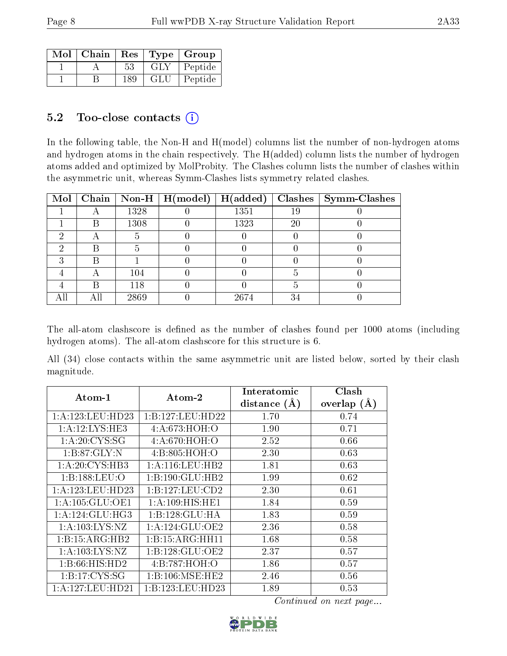| $Mol$   Chain | Res |       | Type   Group |
|---------------|-----|-------|--------------|
|               | 53  | GLY - | Peptide      |
|               | 189 | -GLU  | Peptide      |

### $5.2$  Too-close contacts  $(i)$

In the following table, the Non-H and H(model) columns list the number of non-hydrogen atoms and hydrogen atoms in the chain respectively. The H(added) column lists the number of hydrogen atoms added and optimized by MolProbity. The Clashes column lists the number of clashes within the asymmetric unit, whereas Symm-Clashes lists symmetry related clashes.

|   |      | Mol   Chain   Non-H   H(model)   H(added) |      |    | $Class   Symm-Class$ |
|---|------|-------------------------------------------|------|----|----------------------|
| A | 1328 |                                           | 1351 | 19 |                      |
|   | 1308 |                                           | 1323 | 20 |                      |
|   |      |                                           |      |    |                      |
|   |      |                                           |      |    |                      |
|   |      |                                           |      |    |                      |
|   | 104  |                                           |      |    |                      |
|   | 118  |                                           |      |    |                      |
|   | 2869 |                                           | 2674 | 3. |                      |

The all-atom clashscore is defined as the number of clashes found per 1000 atoms (including hydrogen atoms). The all-atom clashscore for this structure is 6.

All (34) close contacts within the same asymmetric unit are listed below, sorted by their clash magnitude.

| $Atom-1$            | Atom-2              | Interatomic    | Clash         |  |
|---------------------|---------------------|----------------|---------------|--|
|                     |                     | distance $(A)$ | overlap $(A)$ |  |
| 1:A:123:LEU:HD23    | 1:B:127:LEU:HD22    | 1.70           | 0.74          |  |
| 1:A:12:LYS:HE3      | 4: A:673: HOH:O     | 1.90           | 0.71          |  |
| 1: A:20: CYS:SG     | 4:A:670:HOH:O       | 2.52           | 0.66          |  |
| 1: B:87: GLY:N      | 4:B:805:HOH:O       | 2.30           | 0.63          |  |
| 1:A:20:CYS:HB3      | 1: A: 116: LEU: HB2 | 1.81           | 0.63          |  |
| 1:B:188:LEU:O       | 1:B:190:GLU:HB2     | 1.99           | 0.62          |  |
| 1:A:123:LEU:HD23    | 1:B:127:LEU:CD2     | 2.30           | 0.61          |  |
| 1: A: 105: GLU: OE1 | 1: A:109: HIS: HE1  | 1.84           | 0.59          |  |
| 1: A: 124: GLU: HG3 | 1:B:128:GLU:HA      | 1.83           | 0.59          |  |
| 1: A: 103: LYS: NZ  | 1:A:124:GLU:OE2     | 2.36           | 0.58          |  |
| 1:B:15:ARG:HB2      | 1:B:15:ARG:HH11     | 1.68           | 0.58          |  |
| 1: A: 103: LYS: NZ  | 1:B:128:GLU:OE2     | 2.37           | 0.57          |  |
| 1:B:66:HIS:HD2      | 4:B:787:HOH:O       | 1.86           | 0.57          |  |
| 1:B:17:CYS:SG       | 1: B: 106: MSE: HE2 | 2.46           | 0.56          |  |
| 1:A:127:LEU:HD21    | 1:B:123:LEU:HD23    | 1.89           | 0.53          |  |

Continued on next page...

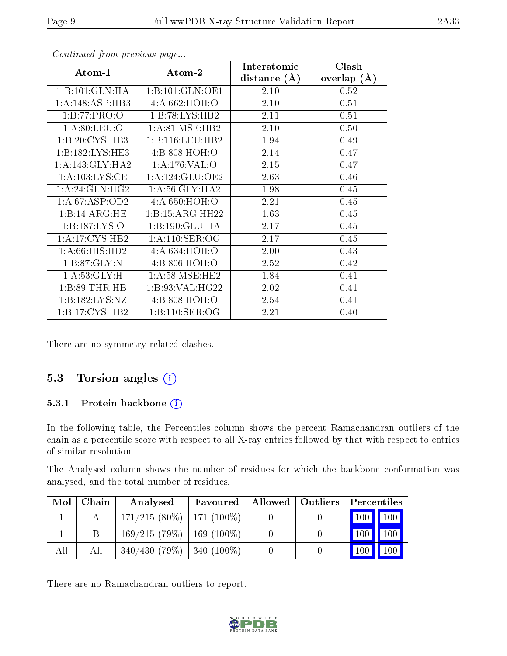| Atom-1                         | Atom-2             | Interatomic    | Clash         |
|--------------------------------|--------------------|----------------|---------------|
|                                |                    | distance $(A)$ | overlap $(A)$ |
| 1:B:101:GLN:HA                 | 1:B:101:GLN:OE1    | 2.10           | 0.52          |
| 1:A:148:ASP:HB3                | 4:A:662:HOH:O      | 2.10           | 0.51          |
| 1:B:77:PRO:O                   | 1:B:78:LYS:HB2     | 2.11           | 0.51          |
| 1: A:80: LEU:O                 | 1: A:81: MSE:HB2   | 2.10           | 0.50          |
| 1:B:20:CYS:HB3                 | 1:B:116:LEU:HB2    | 1.94           | 0.49          |
| 1:B:182:LYS:HE3                | 4: B:808: HOH:O    | 2.14           | 0.47          |
| 1: A:143: GLY:HA2              | 1:A:176:VAL:O      | 2.15           | 0.47          |
| 1: A: 103: LYS: CE             | 1: A:124: GLU:OE2  | 2.63           | 0.46          |
| 1: A:24: GLN: HG2              | 1: A:56: GLY:HA2   | 1.98           | 0.45          |
| 1: A:67:ASP:OD2                | 4:A:650:HOH:O      | 2.21           | 0.45          |
| 1:B:14:ARG:HE                  | 1:B:15:ARG:HH22    | 1.63           | 0.45          |
| 1:B:187:LYS:O                  | 1:B:190:GLU:HA     | 2.17           | 0.45          |
| 1:A:17:CYS:HB2                 | 1: A:110: SER:OG   | 2.17           | 0.45          |
| $1: A:66: HIS: H\overline{D2}$ | 4:A:634:HOH:O      | 2.00           | 0.43          |
| 1: B:87: GLY:N                 | 4: B:806:HOH:O     | 2.52           | 0.42          |
| 1: A:53: GLY:H                 | 1: A:58: MSE:HE2   | 1.84           | 0.41          |
| 1: B:89: THR:HB                | 1: B:93: VAL: HG22 | 2.02           | 0.41          |
| 1:B:182:LYS:NZ                 | 4:B:808:HOH:O      | 2.54           | 0.41          |
| 1: B: 17: CYS: HB2             | 1: B: 110: SER: OG | 2.21           | 0.40          |

Continued from previous page...

There are no symmetry-related clashes.

### 5.3 Torsion angles (i)

#### 5.3.1 Protein backbone (i)

In the following table, the Percentiles column shows the percent Ramachandran outliers of the chain as a percentile score with respect to all X-ray entries followed by that with respect to entries of similar resolution.

The Analysed column shows the number of residues for which the backbone conformation was analysed, and the total number of residues.

| Mol | Chain | Analysed                       | Favoured |  | Allowed   Outliers   Percentiles |
|-----|-------|--------------------------------|----------|--|----------------------------------|
|     |       | $171/215(80\%)$   171 (100\%)  |          |  |                                  |
|     |       | $169/215(79%)$   169 (100%)    |          |  | $\mid$ 100 $\mid$ 100 $\mid$     |
| All | All   | $340/430$ (79\%)   340 (100\%) |          |  | $\mid$ 100 $\mid$ 100 $\mid$     |

There are no Ramachandran outliers to report.

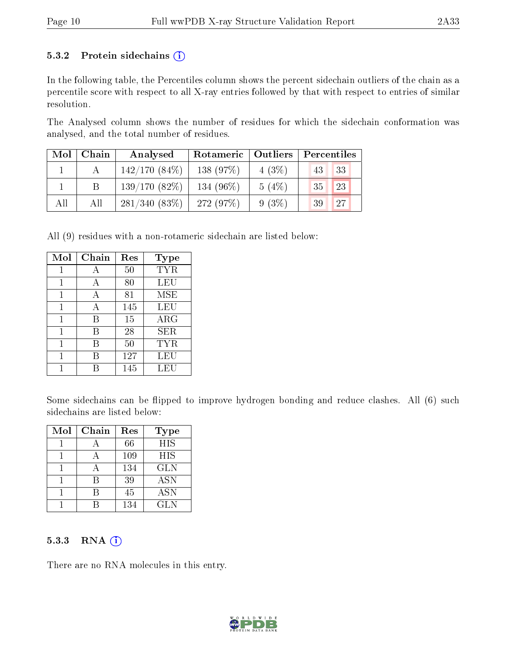#### 5.3.2 Protein sidechains  $(i)$

In the following table, the Percentiles column shows the percent sidechain outliers of the chain as a percentile score with respect to all X-ray entries followed by that with respect to entries of similar resolution.

The Analysed column shows the number of residues for which the sidechain conformation was analysed, and the total number of residues.

| Mol | Chain | Analysed        | Rotameric   Outliers |          | Percentiles |  |  |
|-----|-------|-----------------|----------------------|----------|-------------|--|--|
|     |       | $142/170(84\%)$ | 138 (97%)            | $4(3\%)$ | 33<br>43    |  |  |
|     |       | $139/170(82\%)$ | 134 $(96\%)$         | 5(4%)    | 23<br>35    |  |  |
| All | All   | 281/340(83%)    | 272 (97\%)           | $9(3\%)$ | 27<br>-39   |  |  |

All (9) residues with a non-rotameric sidechain are listed below:

| Mol | Chain | Res | Type       |
|-----|-------|-----|------------|
|     | A     | 50  | <b>TYR</b> |
| 1   | A     | 80  | LEU        |
| 1   | A     | 81  | MSE        |
| 1   | А     | 145 | LEU        |
| 1   | B     | 15  | $\rm{ARG}$ |
| 1   | B     | 28  | SER        |
|     | R     | 50  | TYR        |
| 1   | В     | 127 | LEU        |
|     |       | 145 | LEU        |

Some sidechains can be flipped to improve hydrogen bonding and reduce clashes. All (6) such sidechains are listed below:

| Mol | Chain | Res | <b>Type</b> |
|-----|-------|-----|-------------|
|     |       | 66  | <b>HIS</b>  |
|     |       | 109 | HIS         |
|     |       | 134 | <b>GLN</b>  |
|     | R     | 39  | <b>ASN</b>  |
|     |       | 45  | <b>ASN</b>  |
|     |       | 134 | GLN         |

#### $5.3.3$  RNA  $(i)$

There are no RNA molecules in this entry.

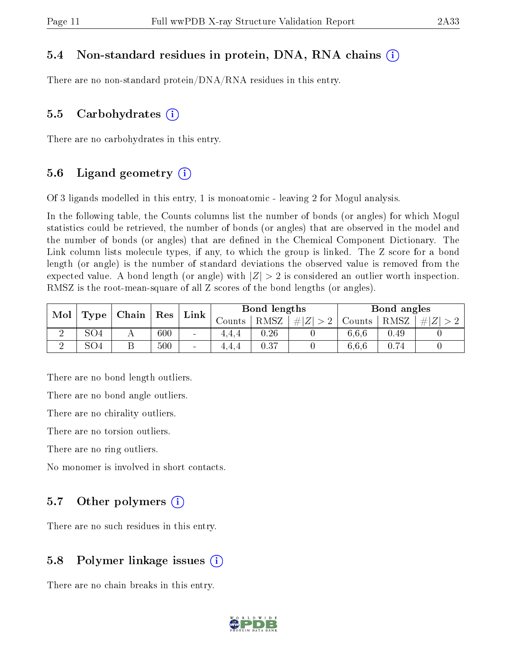#### 5.4 Non-standard residues in protein, DNA, RNA chains (i)

There are no non-standard protein/DNA/RNA residues in this entry.

#### 5.5 Carbohydrates (i)

There are no carbohydrates in this entry.

### 5.6 Ligand geometry  $(i)$

Of 3 ligands modelled in this entry, 1 is monoatomic - leaving 2 for Mogul analysis.

In the following table, the Counts columns list the number of bonds (or angles) for which Mogul statistics could be retrieved, the number of bonds (or angles) that are observed in the model and the number of bonds (or angles) that are dened in the Chemical Component Dictionary. The Link column lists molecule types, if any, to which the group is linked. The Z score for a bond length (or angle) is the number of standard deviations the observed value is removed from the expected value. A bond length (or angle) with  $|Z| > 2$  is considered an outlier worth inspection. RMSZ is the root-mean-square of all Z scores of the bond lengths (or angles).

| Mol<br>Type |     | Res<br>Chain |     | Bond lengths             |         |      | Bond angles      |        |      |   |
|-------------|-----|--------------|-----|--------------------------|---------|------|------------------|--------|------|---|
|             |     |              |     | Link                     | Counts- | RMSZ | # Z <br>$\Omega$ | Counts | RMSZ | # |
|             | SO4 |              | 600 | $\sim$                   | 4.4.4   | 0.26 |                  | 6.6.6  | 0.49 |   |
|             | SO4 |              | 500 | $\overline{\phantom{a}}$ | 4.4.4   | 0.37 |                  | 6.6.6  | 0.74 |   |

There are no bond length outliers.

There are no bond angle outliers.

There are no chirality outliers.

There are no torsion outliers.

There are no ring outliers.

No monomer is involved in short contacts.

#### 5.7 [O](https://www.wwpdb.org/validation/2017/XrayValidationReportHelp#nonstandard_residues_and_ligands)ther polymers  $(i)$

There are no such residues in this entry.

### 5.8 Polymer linkage issues  $(i)$

There are no chain breaks in this entry.

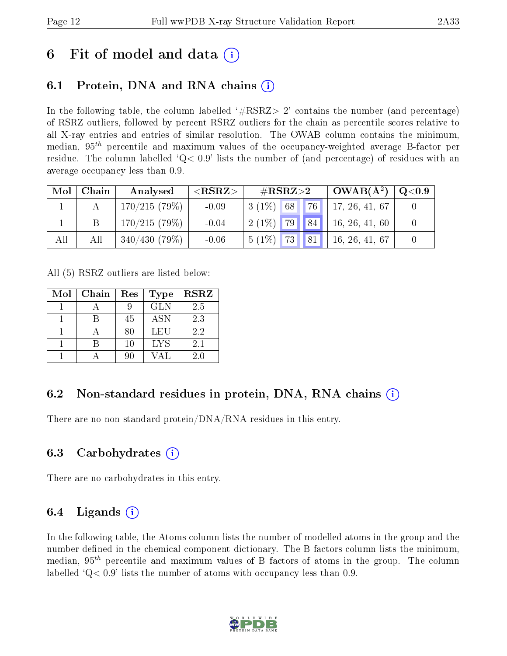# 6 Fit of model and data  $\left( \cdot \right)$

## 6.1 Protein, DNA and RNA chains (i)

In the following table, the column labelled  $#RSRZ>2'$  contains the number (and percentage) of RSRZ outliers, followed by percent RSRZ outliers for the chain as percentile scores relative to all X-ray entries and entries of similar resolution. The OWAB column contains the minimum, median,  $95<sup>th</sup>$  percentile and maximum values of the occupancy-weighted average B-factor per residue. The column labelled  $Q< 0.9$  lists the number of (and percentage) of residues with an average occupancy less than 0.9.

| Mol | Chain | Analysed     | ${ <\hspace{-1.5pt}{\mathrm{RSRZ}} \hspace{-1.5pt}>}$ | $\#\text{RSRZ}\text{>2}$ |             | $OWAB(A^2)$    | $\rm Q\textcolor{black}{<}0.9$ |
|-----|-------|--------------|-------------------------------------------------------|--------------------------|-------------|----------------|--------------------------------|
|     |       | 170/215(79%) | $-0.09$                                               | $3(1\%)$ 68              | $\sqrt{76}$ | 17, 26, 41, 67 |                                |
|     |       | 170/215(79%) | $-0.04$                                               | $2(1\%)$ 79              | 84          | 16, 26, 41, 60 |                                |
| All | All   | 340/430(79%) | $-0.06$                                               | <b>73</b> 81<br>$5(1\%)$ |             | 16, 26, 41, 67 |                                |

All (5) RSRZ outliers are listed below:

| Mol | Chain | Res | <b>Type</b> | <b>RSRZ</b> |
|-----|-------|-----|-------------|-------------|
|     |       |     | <b>GLN</b>  | 2.5         |
|     |       | 45  | <b>ASN</b>  | 2.3         |
|     |       | 80  | LEU         | 2.2         |
|     |       | 10  | <b>LYS</b>  | 2.1         |
|     |       | 90  |             | 20          |

### 6.2 Non-standard residues in protein, DNA, RNA chains  $(i)$

There are no non-standard protein/DNA/RNA residues in this entry.

### 6.3 Carbohydrates (i)

There are no carbohydrates in this entry.

### 6.4 Ligands  $(i)$

In the following table, the Atoms column lists the number of modelled atoms in the group and the number defined in the chemical component dictionary. The B-factors column lists the minimum, median,  $95<sup>th</sup>$  percentile and maximum values of B factors of atoms in the group. The column labelled  $Q< 0.9$  lists the number of atoms with occupancy less than 0.9.